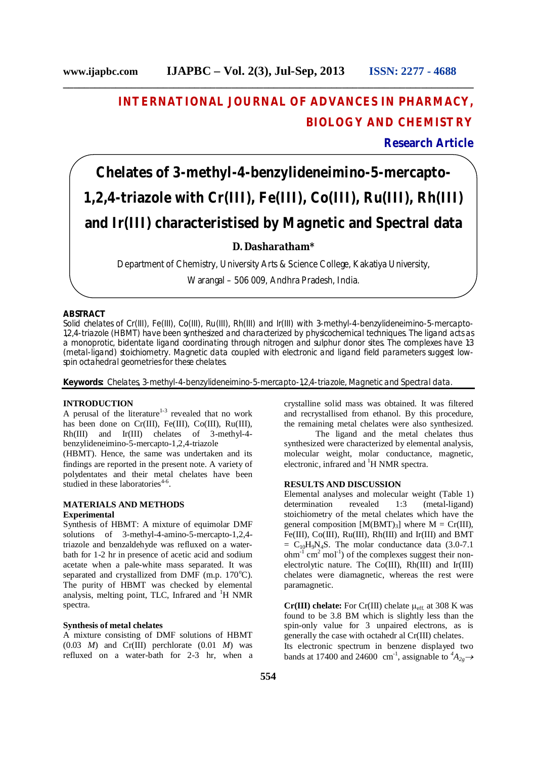**\_\_\_\_\_\_\_\_\_\_\_\_\_\_\_\_\_\_\_\_\_\_\_\_\_\_\_\_\_\_\_\_\_\_\_\_\_\_\_\_\_\_\_\_\_\_\_\_\_\_\_\_\_\_\_\_\_\_\_\_\_\_\_\_\_\_\_\_\_\_\_\_\_\_\_\_\_\_**

## **INTERNATIONAL JOURNAL OF ADVANCES IN PHARMACY, BIOLOGY AND CHEMISTRY**

**Research Article**

# **Chelates of 3-methyl-4-benzylideneimino-5-mercapto-1,2,4-triazole with Cr(III), Fe(III), Co(III), Ru(III), Rh(III) and Ir(III) characteristised by Magnetic and Spectral data**

### **D. Dasharatham\***

Department of Chemistry, University Arts & Science College, Kakatiya University,

Warangal – 506 009, Andhra Pradesh, India.

#### **ABSTRACT**

Solid chelates of Cr(III), Fe(III), Co(III), Ru(III), Rh(III) and Ir(III) with 3-methyl-4-benzylideneimino-5-mercapto-1,2,4-triazole (HBMT) have been synthesized and characterized by physicochemical techniques. The ligand acts as a monoprotic, bidentate ligand coordinating through nitrogen and sulphur donor sites. The complexes have 1:3 (metal-ligand) stoichiometry. Magnetic data coupled with electronic and ligand field parameters suggest lowspin octahedral geometries for these chelates.

**Keywords:** Chelates, 3-methyl-4-benzylideneimino-5-mercapto-1,2,4-triazole, Magnetic and Spectral data.

#### **INTRODUCTION**

A perusal of the literature $1-3$  revealed that no work has been done on Cr(III), Fe(III), Co(III), Ru(III), Rh(III) and Ir(III) chelates of 3-methyl-4 benzylideneimino-5-mercapto-1,2,4-triazole

(HBMT). Hence, the same was undertaken and its findings are reported in the present note. A variety of polydentates and their metal chelates have been studied in these laboratories $4-6$ .

#### **MATERIALS AND METHODS Experimental**

Synthesis of HBMT: A mixture of equimolar DMF solutions of 3-methyl-4-amino-5-mercapto-1,2,4 triazole and benzaldehyde was refluxed on a waterbath for 1-2 hr in presence of acetic acid and sodium acetate when a pale-white mass separated. It was separated and crystallized from DMF (m.p.  $170^{\circ}$ C). The purity of HBMT was checked by elemental analysis, melting point, TLC, Infrared and  ${}^{1}$ H NMR spectra.

#### **Synthesis of metal chelates**

A mixture consisting of DMF solutions of HBMT  $(0.03 \t M)$  and Cr(III) perchlorate  $(0.01 \t M)$  was refluxed on a water-bath for 2-3 hr, when a crystalline solid mass was obtained. It was filtered and recrystallised from ethanol. By this procedure, the remaining metal chelates were also synthesized.

The ligand and the metal chelates thus synthesized were characterized by elemental analysis, molecular weight, molar conductance, magnetic, electronic, infrared and <sup>1</sup>H NMR spectra.

#### **RESULTS AND DISCUSSION**

Elemental analyses and molecular weight (Table 1) determination revealed 1:3 (metal-ligand) stoichiometry of the metal chelates which have the general composition  $[M(BMT)<sub>3</sub>]$  where  $M = Cr(III)$ , Fe(III), Co(III), Ru(III), Rh(III) and Ir(III) and BMT  $= C_{10}H_9N_4S$ . The molar conductance data (3.0-7.1)  $ohm<sup>-1</sup>$  cm<sup>2</sup> mol<sup>-1</sup>) of the complexes suggest their nonelectrolytic nature. The Co(III), Rh(III) and Ir(III) chelates were diamagnetic, whereas the rest were paramagnetic.

 $Cr(III)$  chelate: For  $Cr(III)$  chelate  $\mu_{eff}$  at 308 K was found to be 3.8 BM which is slightly less than the spin-only value for 3 unpaired electrons, as is generally the case with octahedr al Cr(III) chelates. Its electronic spectrum in benzene displayed two bands at 17400 and 24600 cm<sup>-1</sup>, assignable to  ${}^4A_{2g}$   $\rightarrow$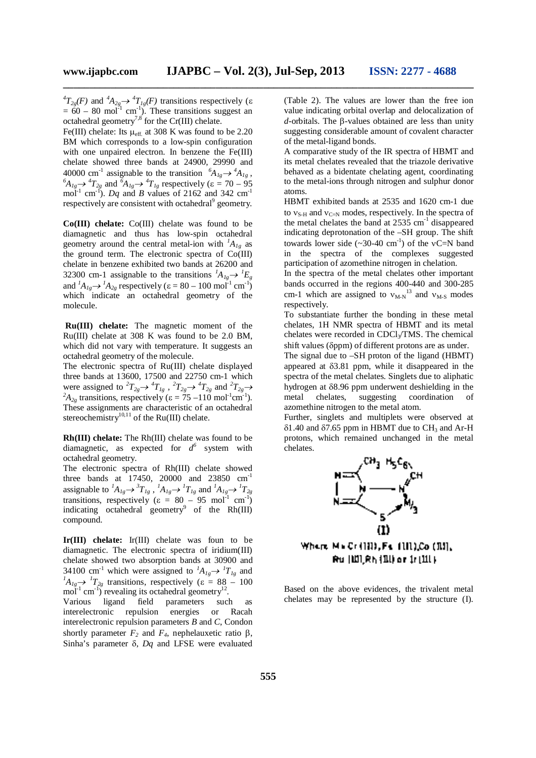**\_\_\_\_\_\_\_\_\_\_\_\_\_\_\_\_\_\_\_\_\_\_\_\_\_\_\_\_\_\_\_\_\_\_\_\_\_\_\_\_\_\_\_\_\_\_\_\_\_\_\_\_\_\_\_\_\_\_\_\_\_\_\_\_\_\_\_\_\_\_\_\_\_\_\_\_\_\_**

 ${}^{4}T_{2g}(F)$  and  ${}^{4}A_{2g} \rightarrow {}^{4}T_{1g}(F)$  transitions respectively ( $\varepsilon$  $= 60 - 80$  mol<sup>-1</sup> cm<sup>-1</sup>). These transitions suggest an octahedral geometry<sup>7,8</sup> for the Cr(III) chelate.

Fe(III) chelate: Its  $\mu_{\text{eff.}}$  at 308 K was found to be 2.20 BM which corresponds to a low-spin configuration with one unpaired electron. In benzene the Fe(III) chelate showed three bands at 24900, 29990 and 40000 cm<sup>-1</sup> assignable to the transition  ${}^{6}A_{1g} \rightarrow {}^{4}A_{1g}$ ,  ${}^6A_{1g} \rightarrow {}^4T_{2g}$  and  ${}^6A_{1g} \rightarrow {}^4T_{1g}$  respectively ( $\varepsilon = 70 - 95$ ) mol<sup>-1</sup> cm<sup>-f</sup>). *Dq* and *B* values of 2162 and 342 cm<sup>-1</sup> respectively are consistent with octahedral<sup>9</sup> geometry.

**Co(III) chelate:** Co(III) chelate was found to be diamagnetic and thus has low-spin octahedral geometry around the central metal-ion with  $^1A_{1g}$  as the ground term. The electronic spectra of Co(III) chelate in benzene exhibited two bands at 26200 and 32300 cm-1 assignable to the transitions  ${}^{1}A_{1g} \rightarrow {}^{1}E_{g}$ and  ${}^{1}A_{1g} \rightarrow {}^{1}A_{2g}$  respectively ( $\varepsilon = 80 - 100 \text{ mol}^{-1} \text{ cm}^{-1}$ ) which indicate an octahedral geometry of the molecule.

**Ru(III) chelate:** The magnetic moment of the Ru(III) chelate at 308 K was found to be 2.0 BM, which did not vary with temperature. It suggests an octahedral geometry of the molecule.

The electronic spectra of Ru(III) chelate displayed three bands at 13600, 17500 and 22750 cm-1 which were assigned to  ${}^2T_{2g} \rightarrow {}^4T_{1g}$ ,  ${}^2T_{2g} \rightarrow {}^4T_{2g}$  and  ${}^2T_{2g} \rightarrow$  ${}^{2}A_{2g}$  transitions, respectively ( $\varepsilon = 75 - 110$  mol<sup>-1</sup>cm<sup>-1</sup>). These assignments are characteristic of an octahedral stereochemistry<sup>10,11</sup> of the Ru(III) chelate.

**Rh(III) chelate:** The Rh(III) chelate was found to be diamagnetic, as expected for  $d^6$  system with octahedral geometry.

The electronic spectra of Rh(III) chelate showed three bands at 17450, 20000 and 23850 cm<sup>-1</sup> assignable to  ${}^{1}A_{1g} \rightarrow {}^{3}T_{1g}$ ,  ${}^{1}A_{1g} \rightarrow {}^{1}T_{1g}$  and  ${}^{1}A_{1g} \rightarrow {}^{1}T_{2g}$ transitions, respectively ( $\varepsilon = 80 - 95$  mol<sup>-1</sup> cm<sup>-1</sup>) indicating octahedral geometry<sup>9</sup> of the Rh $(III)$ compound.

**Ir(III) chelate:** Ir(III) chelate was foun to be diamagnetic. The electronic spectra of iridium(III) chelate showed two absorption bands at 30900 and 34100 cm<sup>-1</sup> which were assigned to  ${}^{I}A_{1g} \rightarrow {}^{I}T_{1g}$  and  ${}^{1}A_{1g} \rightarrow {}^{1}T_{2g}$  transitions, respectively ( $\varepsilon = 88 - 100$ mol<sup>-1</sup> cm<sup>-1</sup>) revealing its octahedral geometry<sup>12</sup>.

Various ligand field parameters such as interelectronic repulsion energies or Racah interelectronic repulsion parameters *B* and *C*, Condon shortly parameter  $F_2$  and  $F_4$ , nephelauxetic ratio  $\beta$ , Sinha's parameter  $\delta$ , *Dq* and LFSE were evaluated (Table 2). The values are lower than the free ion value indicating orbital overlap and delocalization of  $d$ -orbitals. The  $\beta$ -values obtained are less than unity suggesting considerable amount of covalent character of the metal-ligand bonds.

A comparative study of the IR spectra of HBMT and its metal chelates revealed that the triazole derivative behaved as a bidentate chelating agent, coordinating to the metal-ions through nitrogen and sulphur donor atoms.

HBMT exhibited bands at 2535 and 1620 cm-1 due to  $v_{S-H}$  and  $v_{C=N}$  modes, respectively. In the spectra of the metal chelates the band at  $2535 \text{ cm}^{-1}$  disappeared indicating deprotonation of the –SH group. The shift towards lower side  $(\sim 30-40 \text{ cm}^{-1})$  of the vC=N band in the spectra of the complexes suggested participation of azomethine nitrogen in chelation.

In the spectra of the metal chelates other important bands occurred in the regions 400-440 and 300-285 cm-1 which are assigned to  $v_{M-N}^{13}$  and  $v_{M-S}$  modes respectively.

To substantiate further the bonding in these metal chelates, 1H NMR spectra of HBMT and its metal chelates were recorded in  $CDCl<sub>3</sub>/TMS$ . The chemical shift values ( $\delta$ ppm) of different protons are as under.

The signal due to –SH proton of the ligand (HBMT) appeared at 3.81 ppm, while it disappeared in the spectra of the metal chelates. Singlets due to aliphatic hydrogen at  $\delta$ 8.96 ppm underwent deshielding in the metal chelates, suggesting coordination azomethine nitrogen to the metal atom.

Further, singlets and multiplets were observed at  $\delta$ 1.40 and  $\delta$ 7.65 ppm in HBMT due to CH<sub>3</sub> and Ar-H protons, which remained unchanged in the metal chelates.



Where MuCrillB, Ft (III),Co (RI), **Ru | WI\_Rh {11} or 1r (11) }** 

Based on the above evidences, the trivalent metal chelates may be represented by the structure (I).